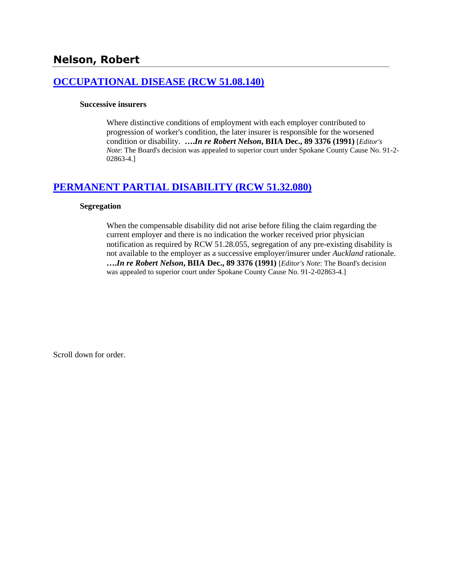## **[OCCUPATIONAL DISEASE \(RCW 51.08.140\)](http://www.biia.wa.gov/SDSubjectIndex.html#OCCUPATIONAL_DISEASE)**

### **Successive insurers**

Where distinctive conditions of employment with each employer contributed to progression of worker's condition, the later insurer is responsible for the worsened condition or disability. **….***In re Robert Nelson***, BIIA Dec., 89 3376 (1991)** [*Editor's Note*: The Board's decision was appealed to superior court under Spokane County Cause No. 91-2- 02863-4.]

### **[PERMANENT PARTIAL DISABILITY \(RCW 51.32.080\)](http://www.biia.wa.gov/SDSubjectIndex.html#PERMANENT_PARTIAL_DISABILITY)**

### **Segregation**

When the compensable disability did not arise before filing the claim regarding the current employer and there is no indication the worker received prior physician notification as required by RCW 51.28.055, segregation of any pre-existing disability is not available to the employer as a successive employer/insurer under *Auckland* rationale. **….***In re Robert Nelson***, BIIA Dec., 89 3376 (1991)** [*Editor's Note*: The Board's decision was appealed to superior court under Spokane County Cause No. 91-2-02863-4.]

Scroll down for order.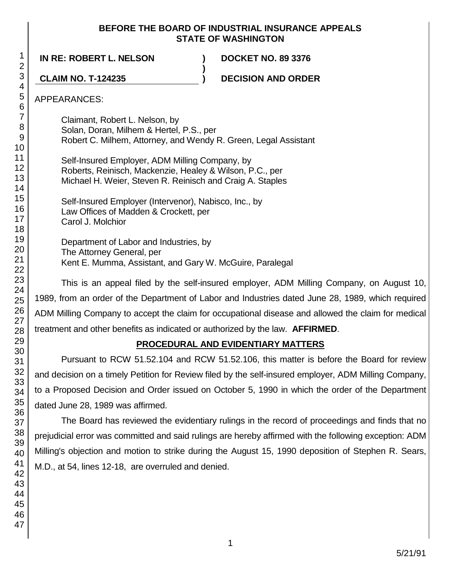### **BEFORE THE BOARD OF INDUSTRIAL INSURANCE APPEALS STATE OF WASHINGTON**

**)**

**IN RE: ROBERT L. NELSON ) DOCKET NO. 89 3376**

**CLAIM NO. T-124235 ) DECISION AND ORDER**

APPEARANCES:

Claimant, Robert L. Nelson, by Solan, Doran, Milhem & Hertel, P.S., per Robert C. Milhem, Attorney, and Wendy R. Green, Legal Assistant

Self-Insured Employer, ADM Milling Company, by Roberts, Reinisch, Mackenzie, Healey & Wilson, P.C., per Michael H. Weier, Steven R. Reinisch and Craig A. Staples

Self-Insured Employer (Intervenor), Nabisco, Inc., by Law Offices of Madden & Crockett, per Carol J. Molchior

Department of Labor and Industries, by The Attorney General, per Kent E. Mumma, Assistant, and Gary W. McGuire, Paralegal

This is an appeal filed by the self-insured employer, ADM Milling Company, on August 10, 1989, from an order of the Department of Labor and Industries dated June 28, 1989, which required ADM Milling Company to accept the claim for occupational disease and allowed the claim for medical treatment and other benefits as indicated or authorized by the law. **AFFIRMED**.

# **PROCEDURAL AND EVIDENTIARY MATTERS**

Pursuant to RCW 51.52.104 and RCW 51.52.106, this matter is before the Board for review and decision on a timely Petition for Review filed by the self-insured employer, ADM Milling Company, to a Proposed Decision and Order issued on October 5, 1990 in which the order of the Department dated June 28, 1989 was affirmed.

The Board has reviewed the evidentiary rulings in the record of proceedings and finds that no prejudicial error was committed and said rulings are hereby affirmed with the following exception: ADM Milling's objection and motion to strike during the August 15, 1990 deposition of Stephen R. Sears, M.D., at 54, lines 12-18, are overruled and denied.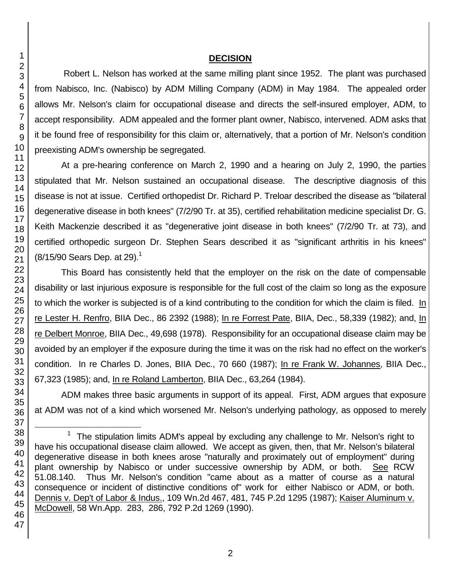### **DECISION**

Robert L. Nelson has worked at the same milling plant since 1952. The plant was purchased from Nabisco, Inc. (Nabisco) by ADM Milling Company (ADM) in May 1984. The appealed order allows Mr. Nelson's claim for occupational disease and directs the self-insured employer, ADM, to accept responsibility. ADM appealed and the former plant owner, Nabisco, intervened. ADM asks that it be found free of responsibility for this claim or, alternatively, that a portion of Mr. Nelson's condition preexisting ADM's ownership be segregated.

At a pre-hearing conference on March 2, 1990 and a hearing on July 2, 1990, the parties stipulated that Mr. Nelson sustained an occupational disease. The descriptive diagnosis of this disease is not at issue. Certified orthopedist Dr. Richard P. Treloar described the disease as "bilateral degenerative disease in both knees" (7/2/90 Tr. at 35), certified rehabilitation medicine specialist Dr. G. Keith Mackenzie described it as "degenerative joint disease in both knees" (7/2/90 Tr. at 73), and certified orthopedic surgeon Dr. Stephen Sears described it as "significant arthritis in his knees"  $(8/15/90$  Sears Dep. at 29).<sup>1</sup>

This Board has consistently held that the employer on the risk on the date of compensable disability or last injurious exposure is responsible for the full cost of the claim so long as the exposure to which the worker is subjected is of a kind contributing to the condition for which the claim is filed. In re Lester H. Renfro, BIIA Dec., 86 2392 (1988); In re Forrest Pate, BIIA, Dec., 58,339 (1982); and, In re Delbert Monroe, BIIA Dec., 49,698 (1978). Responsibility for an occupational disease claim may be avoided by an employer if the exposure during the time it was on the risk had no effect on the worker's condition. In re Charles D. Jones, BIIA Dec., 70 660 (1987); In re Frank W. Johannes, BIIA Dec., 67,323 (1985); and, In re Roland Lamberton, BIIA Dec., 63,264 (1984).

ADM makes three basic arguments in support of its appeal. First, ADM argues that exposure at ADM was not of a kind which worsened Mr. Nelson's underlying pathology, as opposed to merely

l

 <sup>1</sup> The stipulation limits ADM's appeal by excluding any challenge to Mr. Nelson's right to have his occupational disease claim allowed. We accept as given, then, that Mr. Nelson's bilateral degenerative disease in both knees arose "naturally and proximately out of employment" during plant ownership by Nabisco or under successive ownership by ADM, or both. See RCW 51.08.140. Thus Mr. Nelson's condition "came about as a matter of course as a natural consequence or incident of distinctive conditions of" work for either Nabisco or ADM, or both. Dennis v. Dep't of Labor & Indus., 109 Wn.2d 467, 481, 745 P.2d 1295 (1987); Kaiser Aluminum v. McDowell, 58 Wn.App. 283, 286, 792 P.2d 1269 (1990).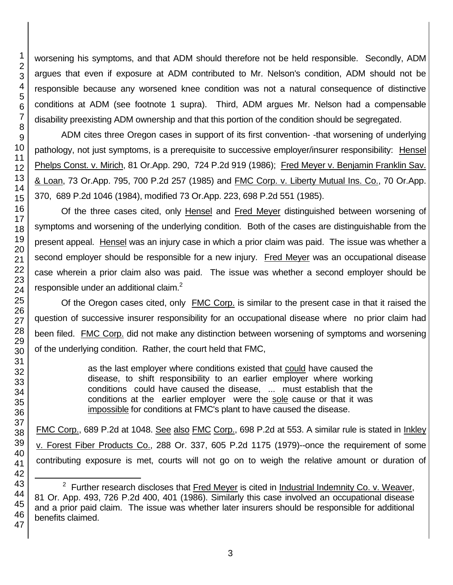worsening his symptoms, and that ADM should therefore not be held responsible. Secondly, ADM argues that even if exposure at ADM contributed to Mr. Nelson's condition, ADM should not be responsible because any worsened knee condition was not a natural consequence of distinctive conditions at ADM (see footnote 1 supra). Third, ADM argues Mr. Nelson had a compensable disability preexisting ADM ownership and that this portion of the condition should be segregated.

ADM cites three Oregon cases in support of its first convention- -that worsening of underlying pathology, not just symptoms, is a prerequisite to successive employer/insurer responsibility: Hensel Phelps Const. v. Mirich, 81 Or.App. 290, 724 P.2d 919 (1986); Fred Meyer v. Benjamin Franklin Sav. & Loan, 73 Or.App. 795, 700 P.2d 257 (1985) and FMC Corp. v. Liberty Mutual Ins. Co., 70 Or.App. 370, 689 P.2d 1046 (1984), modified 73 Or.App. 223, 698 P.2d 551 (1985).

Of the three cases cited, only Hensel and Fred Meyer distinguished between worsening of symptoms and worsening of the underlying condition. Both of the cases are distinguishable from the present appeal. Hensel was an injury case in which a prior claim was paid. The issue was whether a second employer should be responsible for a new injury. Fred Meyer was an occupational disease case wherein a prior claim also was paid. The issue was whether a second employer should be responsible under an additional claim.<sup>2</sup>

Of the Oregon cases cited, only FMC Corp. is similar to the present case in that it raised the question of successive insurer responsibility for an occupational disease where no prior claim had been filed. FMC Corp. did not make any distinction between worsening of symptoms and worsening of the underlying condition. Rather, the court held that FMC,

> as the last employer where conditions existed that could have caused the disease, to shift responsibility to an earlier employer where working conditions could have caused the disease, ... must establish that the conditions at the earlier employer were the sole cause or that it was impossible for conditions at FMC's plant to have caused the disease.

FMC Corp., 689 P.2d at 1048. See also FMC Corp., 698 P.2d at 553. A similar rule is stated in Inkley v. Forest Fiber Products Co., 288 Or. 337, 605 P.2d 1175 (1979)--once the requirement of some contributing exposure is met, courts will not go on to weigh the relative amount or duration of

l

<sup>&</sup>lt;sup>2</sup> Further research discloses that Fred Meyer is cited in Industrial Indemnity Co. v. Weaver, 81 Or. App. 493, 726 P.2d 400, 401 (1986). Similarly this case involved an occupational disease and a prior paid claim. The issue was whether later insurers should be responsible for additional benefits claimed.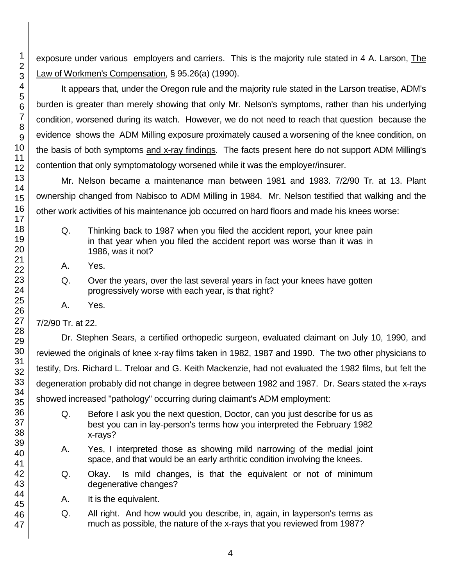exposure under various employers and carriers. This is the majority rule stated in 4 A. Larson, The Law of Workmen's Compensation, § 95.26(a) (1990).

It appears that, under the Oregon rule and the majority rule stated in the Larson treatise, ADM's burden is greater than merely showing that only Mr. Nelson's symptoms, rather than his underlying condition, worsened during its watch. However, we do not need to reach that question because the evidence shows the ADM Milling exposure proximately caused a worsening of the knee condition, on the basis of both symptoms and x-ray findings. The facts present here do not support ADM Milling's contention that only symptomatology worsened while it was the employer/insurer.

Mr. Nelson became a maintenance man between 1981 and 1983. 7/2/90 Tr. at 13. Plant ownership changed from Nabisco to ADM Milling in 1984. Mr. Nelson testified that walking and the other work activities of his maintenance job occurred on hard floors and made his knees worse:

- Q. Thinking back to 1987 when you filed the accident report, your knee pain in that year when you filed the accident report was worse than it was in 1986, was it not?
- A. Yes.
- Q. Over the years, over the last several years in fact your knees have gotten progressively worse with each year, is that right?
- A. Yes.

7/2/90 Tr. at 22.

Dr. Stephen Sears, a certified orthopedic surgeon, evaluated claimant on July 10, 1990, and reviewed the originals of knee x-ray films taken in 1982, 1987 and 1990. The two other physicians to testify, Drs. Richard L. Treloar and G. Keith Mackenzie, had not evaluated the 1982 films, but felt the degeneration probably did not change in degree between 1982 and 1987. Dr. Sears stated the x-rays showed increased "pathology" occurring during claimant's ADM employment:

- Q. Before I ask you the next question, Doctor, can you just describe for us as best you can in lay-person's terms how you interpreted the February 1982 x-rays?
- A. Yes, I interpreted those as showing mild narrowing of the medial joint space, and that would be an early arthritic condition involving the knees.
- Q. Okay. Is mild changes, is that the equivalent or not of minimum degenerative changes?
- A. It is the equivalent.
- Q. All right. And how would you describe, in, again, in layperson's terms as much as possible, the nature of the x-rays that you reviewed from 1987?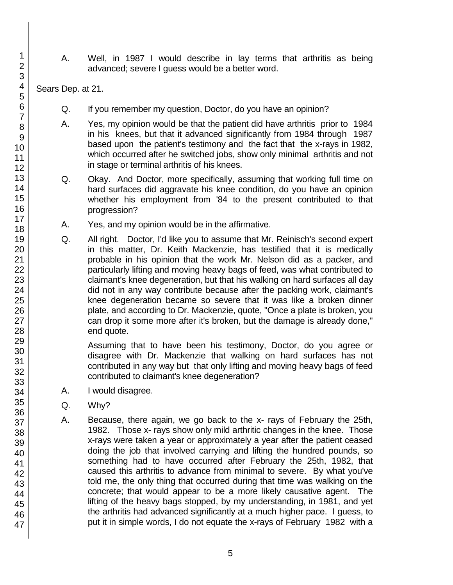A. Well, in 1987 I would describe in lay terms that arthritis as being advanced; severe I guess would be a better word.

Sears Dep. at 21.

- Q. If you remember my question, Doctor, do you have an opinion?
- A. Yes, my opinion would be that the patient did have arthritis prior to 1984 in his knees, but that it advanced significantly from 1984 through 1987 based upon the patient's testimony and the fact that the x-rays in 1982, which occurred after he switched jobs, show only minimal arthritis and not in stage or terminal arthritis of his knees.
- Q. Okay. And Doctor, more specifically, assuming that working full time on hard surfaces did aggravate his knee condition, do you have an opinion whether his employment from '84 to the present contributed to that progression?
- A. Yes, and my opinion would be in the affirmative.
- Q. All right. Doctor, I'd like you to assume that Mr. Reinisch's second expert in this matter, Dr. Keith Mackenzie, has testified that it is medically probable in his opinion that the work Mr. Nelson did as a packer, and particularly lifting and moving heavy bags of feed, was what contributed to claimant's knee degeneration, but that his walking on hard surfaces all day did not in any way contribute because after the packing work, claimant's knee degeneration became so severe that it was like a broken dinner plate, and according to Dr. Mackenzie, quote, "Once a plate is broken, you can drop it some more after it's broken, but the damage is already done," end quote.

Assuming that to have been his testimony, Doctor, do you agree or disagree with Dr. Mackenzie that walking on hard surfaces has not contributed in any way but that only lifting and moving heavy bags of feed contributed to claimant's knee degeneration?

- A. I would disagree.
- Q. Why?
- A. Because, there again, we go back to the x- rays of February the 25th, 1982. Those x- rays show only mild arthritic changes in the knee. Those x-rays were taken a year or approximately a year after the patient ceased doing the job that involved carrying and lifting the hundred pounds, so something had to have occurred after February the 25th, 1982, that caused this arthritis to advance from minimal to severe. By what you've told me, the only thing that occurred during that time was walking on the concrete; that would appear to be a more likely causative agent. The lifting of the heavy bags stopped, by my understanding, in 1981, and yet the arthritis had advanced significantly at a much higher pace. I guess, to put it in simple words, I do not equate the x-rays of February 1982 with a

47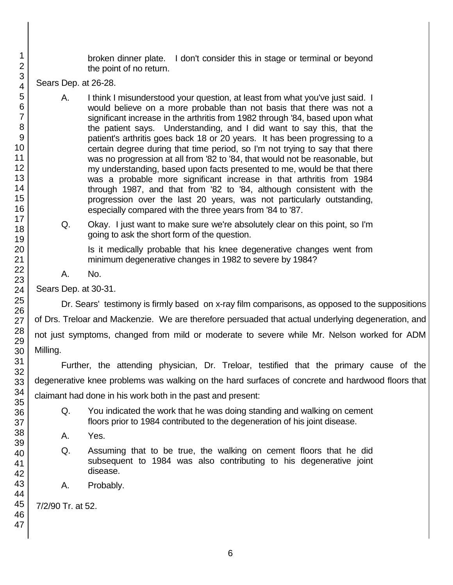broken dinner plate. I don't consider this in stage or terminal or beyond the point of no return.

Sears Dep. at 26-28.

- A. I think I misunderstood your question, at least from what you've just said. I would believe on a more probable than not basis that there was not a significant increase in the arthritis from 1982 through '84, based upon what the patient says. Understanding, and I did want to say this, that the patient's arthritis goes back 18 or 20 years. It has been progressing to a certain degree during that time period, so I'm not trying to say that there was no progression at all from '82 to '84, that would not be reasonable, but my understanding, based upon facts presented to me, would be that there was a probable more significant increase in that arthritis from 1984 through 1987, and that from '82 to '84, although consistent with the progression over the last 20 years, was not particularly outstanding, especially compared with the three years from '84 to '87.
- Q. Okay. I just want to make sure we're absolutely clear on this point, so I'm going to ask the short form of the question.

Is it medically probable that his knee degenerative changes went from minimum degenerative changes in 1982 to severe by 1984?

A. No.

Sears Dep. at 30-31.

Dr. Sears' testimony is firmly based on x-ray film comparisons, as opposed to the suppositions of Drs. Treloar and Mackenzie. We are therefore persuaded that actual underlying degeneration, and not just symptoms, changed from mild or moderate to severe while Mr. Nelson worked for ADM Milling.

Further, the attending physician, Dr. Treloar, testified that the primary cause of the degenerative knee problems was walking on the hard surfaces of concrete and hardwood floors that claimant had done in his work both in the past and present:

- Q. You indicated the work that he was doing standing and walking on cement floors prior to 1984 contributed to the degeneration of his joint disease.
- A. Yes.
- Q. Assuming that to be true, the walking on cement floors that he did subsequent to 1984 was also contributing to his degenerative joint disease.
- A. Probably.

7/2/90 Tr. at 52.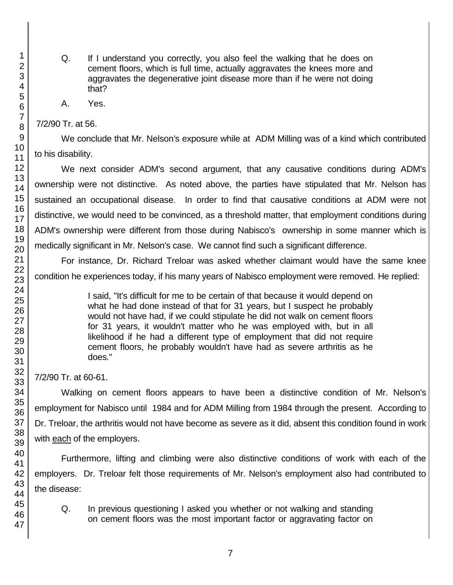- Q. If I understand you correctly, you also feel the walking that he does on cement floors, which is full time, actually aggravates the knees more and aggravates the degenerative joint disease more than if he were not doing that?
- A. Yes.

7/2/90 Tr. at 56.

We conclude that Mr. Nelson's exposure while at ADM Milling was of a kind which contributed to his disability.

We next consider ADM's second argument, that any causative conditions during ADM's ownership were not distinctive. As noted above, the parties have stipulated that Mr. Nelson has sustained an occupational disease. In order to find that causative conditions at ADM were not distinctive, we would need to be convinced, as a threshold matter, that employment conditions during ADM's ownership were different from those during Nabisco's ownership in some manner which is medically significant in Mr. Nelson's case. We cannot find such a significant difference.

For instance, Dr. Richard Treloar was asked whether claimant would have the same knee condition he experiences today, if his many years of Nabisco employment were removed. He replied:

> I said, "It's difficult for me to be certain of that because it would depend on what he had done instead of that for 31 years, but I suspect he probably would not have had, if we could stipulate he did not walk on cement floors for 31 years, it wouldn't matter who he was employed with, but in all likelihood if he had a different type of employment that did not require cement floors, he probably wouldn't have had as severe arthritis as he does."

7/2/90 Tr. at 60-61.

Walking on cement floors appears to have been a distinctive condition of Mr. Nelson's employment for Nabisco until 1984 and for ADM Milling from 1984 through the present. According to Dr. Treloar, the arthritis would not have become as severe as it did, absent this condition found in work with each of the employers.

Furthermore, lifting and climbing were also distinctive conditions of work with each of the employers. Dr. Treloar felt those requirements of Mr. Nelson's employment also had contributed to the disease:

Q. In previous questioning I asked you whether or not walking and standing on cement floors was the most important factor or aggravating factor on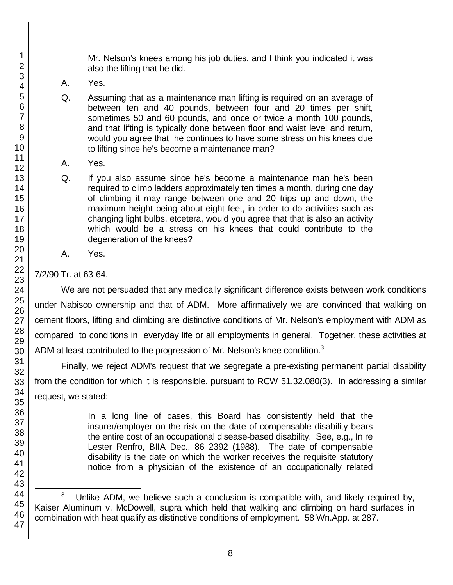Mr. Nelson's knees among his job duties, and I think you indicated it was also the lifting that he did.

- A. Yes.
- Q. Assuming that as a maintenance man lifting is required on an average of between ten and 40 pounds, between four and 20 times per shift, sometimes 50 and 60 pounds, and once or twice a month 100 pounds, and that lifting is typically done between floor and waist level and return, would you agree that he continues to have some stress on his knees due to lifting since he's become a maintenance man?
- A. Yes.
- Q. If you also assume since he's become a maintenance man he's been required to climb ladders approximately ten times a month, during one day of climbing it may range between one and 20 trips up and down, the maximum height being about eight feet, in order to do activities such as changing light bulbs, etcetera, would you agree that that is also an activity which would be a stress on his knees that could contribute to the degeneration of the knees?
- A. Yes.

# 7/2/90 Tr. at 63-64.

We are not persuaded that any medically significant difference exists between work conditions under Nabisco ownership and that of ADM. More affirmatively we are convinced that walking on cement floors, lifting and climbing are distinctive conditions of Mr. Nelson's employment with ADM as compared to conditions in everyday life or all employments in general. Together, these activities at ADM at least contributed to the progression of Mr. Nelson's knee condition. $3$ 

Finally, we reject ADM's request that we segregate a pre-existing permanent partial disability from the condition for which it is responsible, pursuant to RCW 51.32.080(3). In addressing a similar request, we stated:

> In a long line of cases, this Board has consistently held that the insurer/employer on the risk on the date of compensable disability bears the entire cost of an occupational disease-based disability. See, e.g., In re Lester Renfro, BIIA Dec., 86 2392 (1988). The date of compensable disability is the date on which the worker receives the requisite statutory notice from a physician of the existence of an occupationally related

l 3 Unlike ADM, we believe such a conclusion is compatible with, and likely required by, Kaiser Aluminum v. McDowell, supra which held that walking and climbing on hard surfaces in combination with heat qualify as distinctive conditions of employment. 58 Wn.App. at 287.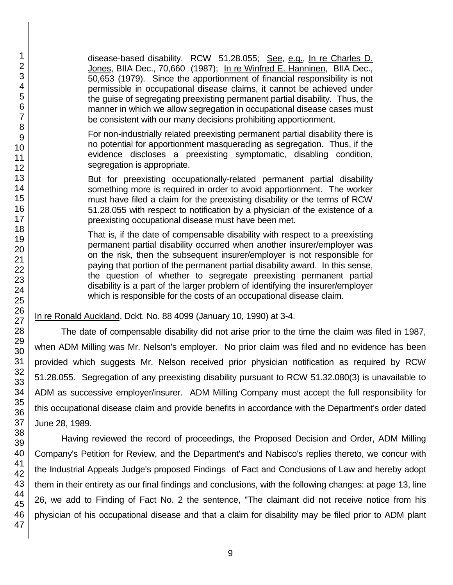disease-based disability. RCW 51.28.055; See, e.g., In re Charles D. Jones, BIIA Dec., 70,660 (1987); In re Winfred E. Hanninen, BIIA Dec., 50,653 (1979). Since the apportionment of financial responsibility is not permissible in occupational disease claims, it cannot be achieved under the guise of segregating preexisting permanent partial disability. Thus, the manner in which we allow segregation in occupational disease cases must be consistent with our many decisions prohibiting apportionment.

For non-industrially related preexisting permanent partial disability there is no potential for apportionment masquerading as segregation. Thus, if the evidence discloses a preexisting symptomatic, disabling condition, segregation is appropriate.

But for preexisting occupationally-related permanent partial disability something more is required in order to avoid apportionment. The worker must have filed a claim for the preexisting disability or the terms of RCW 51.28.055 with respect to notification by a physician of the existence of a preexisting occupational disease must have been met.

That is, if the date of compensable disability with respect to a preexisting permanent partial disability occurred when another insurer/employer was on the risk, then the subsequent insurer/employer is not responsible for paying that portion of the permanent partial disability award. In this sense, the question of whether to segregate preexisting permanent partial disability is a part of the larger problem of identifying the insurer/employer which is responsible for the costs of an occupational disease claim.

In re Ronald Auckland, Dckt. No. 88 4099 (January 10, 1990) at 3-4.

The date of compensable disability did not arise prior to the time the claim was filed in 1987, when ADM Milling was Mr. Nelson's employer. No prior claim was filed and no evidence has been provided which suggests Mr. Nelson received prior physician notification as required by RCW 51.28.055. Segregation of any preexisting disability pursuant to RCW 51.32.080(3) is unavailable to ADM as successive employer/insurer. ADM Milling Company must accept the full responsibility for this occupational disease claim and provide benefits in accordance with the Department's order dated June 28, 1989.

Having reviewed the record of proceedings, the Proposed Decision and Order, ADM Milling Company's Petition for Review, and the Department's and Nabisco's replies thereto, we concur with the Industrial Appeals Judge's proposed Findings of Fact and Conclusions of Law and hereby adopt them in their entirety as our final findings and conclusions, with the following changes: at page 13, line 26, we add to Finding of Fact No. 2 the sentence, "The claimant did not receive notice from his physician of his occupational disease and that a claim for disability may be filed prior to ADM plant